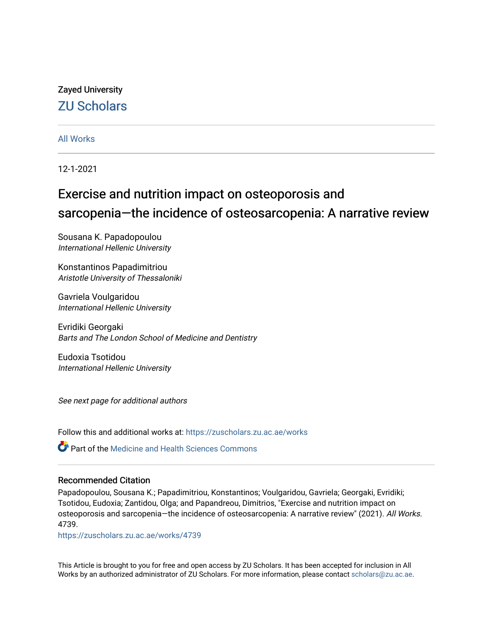# Zayed University [ZU Scholars](https://zuscholars.zu.ac.ae/)

# [All Works](https://zuscholars.zu.ac.ae/works)

12-1-2021

# Exercise and nutrition impact on osteoporosis and sarcopenia—the incidence of osteosarcopenia: A narrative review

Sousana K. Papadopoulou International Hellenic University

Konstantinos Papadimitriou Aristotle University of Thessaloniki

Gavriela Voulgaridou International Hellenic University

Evridiki Georgaki Barts and The London School of Medicine and Dentistry

Eudoxia Tsotidou International Hellenic University

See next page for additional authors

Follow this and additional works at: [https://zuscholars.zu.ac.ae/works](https://zuscholars.zu.ac.ae/works?utm_source=zuscholars.zu.ac.ae%2Fworks%2F4739&utm_medium=PDF&utm_campaign=PDFCoverPages)

Part of the [Medicine and Health Sciences Commons](http://network.bepress.com/hgg/discipline/648?utm_source=zuscholars.zu.ac.ae%2Fworks%2F4739&utm_medium=PDF&utm_campaign=PDFCoverPages) 

# Recommended Citation

Papadopoulou, Sousana K.; Papadimitriou, Konstantinos; Voulgaridou, Gavriela; Georgaki, Evridiki; Tsotidou, Eudoxia; Zantidou, Olga; and Papandreou, Dimitrios, "Exercise and nutrition impact on osteoporosis and sarcopenia—the incidence of osteosarcopenia: A narrative review" (2021). All Works. 4739.

[https://zuscholars.zu.ac.ae/works/4739](https://zuscholars.zu.ac.ae/works/4739?utm_source=zuscholars.zu.ac.ae%2Fworks%2F4739&utm_medium=PDF&utm_campaign=PDFCoverPages)

This Article is brought to you for free and open access by ZU Scholars. It has been accepted for inclusion in All Works by an authorized administrator of ZU Scholars. For more information, please contact [scholars@zu.ac.ae](mailto:scholars@zu.ac.ae).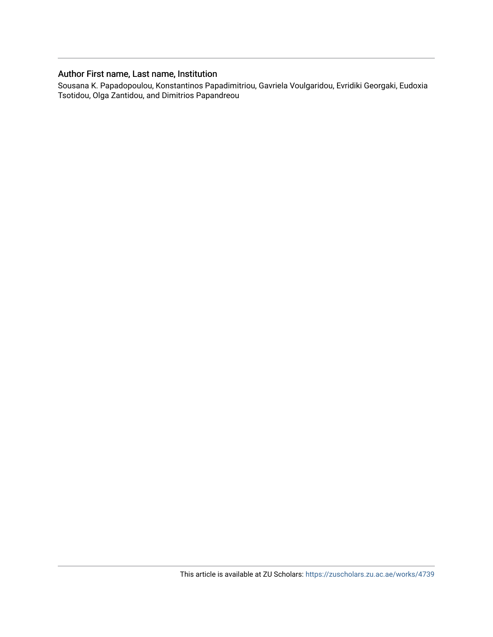# Author First name, Last name, Institution

Sousana K. Papadopoulou, Konstantinos Papadimitriou, Gavriela Voulgaridou, Evridiki Georgaki, Eudoxia Tsotidou, Olga Zantidou, and Dimitrios Papandreou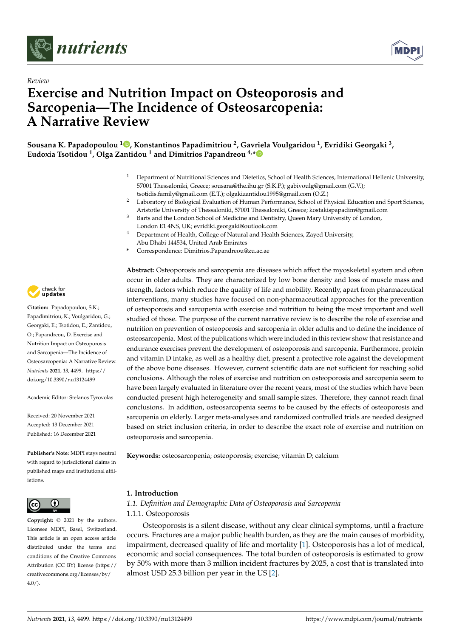



# *Review* **Exercise and Nutrition Impact on Osteoporosis and Sarcopenia—The Incidence of Osteosarcopenia: A Narrative Review**

**Sousana K. Papadopoulou <sup>1</sup> [,](https://orcid.org/0000-0002-6408-6128) Konstantinos Papadimitriou <sup>2</sup> , Gavriela Voulgaridou <sup>1</sup> , Evridiki Georgaki <sup>3</sup> , Eudoxia Tsotidou <sup>1</sup> , Olga Zantidou <sup>1</sup> and Dimitrios Papandreou 4,[\\*](https://orcid.org/0000-0002-4923-484X)**

- <sup>1</sup> Department of Nutritional Sciences and Dietetics, School of Health Sciences, International Hellenic University, 57001 Thessaloniki, Greece; sousana@the.ihu.gr (S.K.P.); gabivoulg@gmail.com (G.V.); tsotidis.family@gmail.com (E.T.); olgakizantidou1995@gmail.com (O.Z.)
- <sup>2</sup> Laboratory of Biological Evaluation of Human Performance, School of Physical Education and Sport Science, Aristotle University of Thessaloniki, 57001 Thessaloniki, Greece; kostakispapadim@gmail.com
- Barts and the London School of Medicine and Dentistry, Queen Mary University of London, London E1 4NS, UK; evridiki.georgaki@outlook.com
- Department of Health, College of Natural and Health Sciences, Zayed University, Abu Dhabi 144534, United Arab Emirates
- **\*** Correspondence: Dimitrios.Papandreou@zu.ac.ae

**Abstract:** Osteoporosis and sarcopenia are diseases which affect the myoskeletal system and often occur in older adults. They are characterized by low bone density and loss of muscle mass and strength, factors which reduce the quality of life and mobility. Recently, apart from pharmaceutical interventions, many studies have focused on non-pharmaceutical approaches for the prevention of osteoporosis and sarcopenia with exercise and nutrition to being the most important and well studied of those. The purpose of the current narrative review is to describe the role of exercise and nutrition on prevention of osteoporosis and sarcopenia in older adults and to define the incidence of osteosarcopenia. Most of the publications which were included in this review show that resistance and endurance exercises prevent the development of osteoporosis and sarcopenia. Furthermore, protein and vitamin D intake, as well as a healthy diet, present a protective role against the development of the above bone diseases. However, current scientific data are not sufficient for reaching solid conclusions. Although the roles of exercise and nutrition on osteoporosis and sarcopenia seem to have been largely evaluated in literature over the recent years, most of the studies which have been conducted present high heterogeneity and small sample sizes. Therefore, they cannot reach final conclusions. In addition, osteosarcopenia seems to be caused by the effects of osteoporosis and sarcopenia on elderly. Larger meta-analyses and randomized controlled trials are needed designed based on strict inclusion criteria, in order to describe the exact role of exercise and nutrition on osteoporosis and sarcopenia.

**Keywords:** osteosarcopenia; osteoporosis; exercise; vitamin D; calcium

## **1. Introduction**

*1.1. Definition and Demographic Data of Osteoporosis and Sarcopenia*

1.1.1. Osteoporosis

Osteoporosis is a silent disease, without any clear clinical symptoms, until a fracture occurs. Fractures are a major public health burden, as they are the main causes of morbidity, impairment, decreased quality of life and mortality [\[1\]](#page-11-0). Osteoporosis has a lot of medical, economic and social consequences. The total burden of osteoporosis is estimated to grow by 50% with more than 3 million incident fractures by 2025, a cost that is translated into almost USD 25.3 billion per year in the US [\[2\]](#page-11-1).



**Citation:** Papadopoulou, S.K.; Papadimitriou, K.; Voulgaridou, G.; Georgaki, E.; Tsotidou, E.; Zantidou, O.; Papandreou, D. Exercise and Nutrition Impact on Osteoporosis and Sarcopenia—The Incidence of Osteosarcopenia: A Narrative Review. *Nutrients* **2021**, *13*, 4499. [https://](https://doi.org/10.3390/nu13124499) [doi.org/10.3390/nu13124499](https://doi.org/10.3390/nu13124499)

Academic Editor: Stefanos Tyrovolas

Received: 20 November 2021 Accepted: 13 December 2021 Published: 16 December 2021

**Publisher's Note:** MDPI stays neutral with regard to jurisdictional claims in published maps and institutional affiliations.



**Copyright:** © 2021 by the authors. Licensee MDPI, Basel, Switzerland. This article is an open access article distributed under the terms and conditions of the Creative Commons Attribution (CC BY) license (https:/[/](https://creativecommons.org/licenses/by/4.0/) [creativecommons.org/licenses/by/](https://creativecommons.org/licenses/by/4.0/)  $4.0/$ ).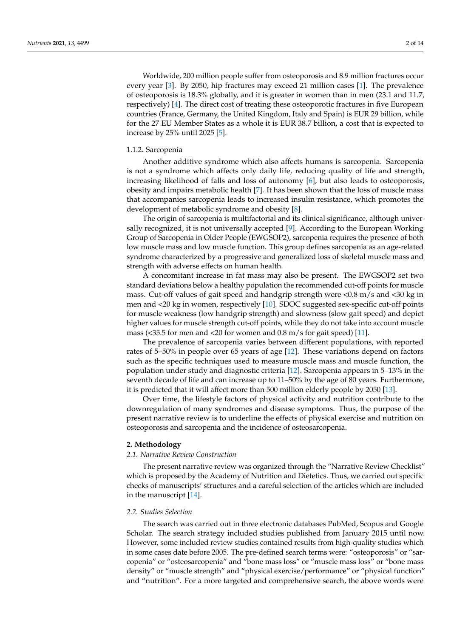Worldwide, 200 million people suffer from osteoporosis and 8.9 million fractures occur every year [\[3\]](#page-11-2). By 2050, hip fractures may exceed 21 million cases [\[1\]](#page-11-0). The prevalence of osteoporosis is 18.3% globally, and it is greater in women than in men (23.1 and 11.7, respectively) [\[4\]](#page-11-3). The direct cost of treating these osteoporotic fractures in five European countries (France, Germany, the United Kingdom, Italy and Spain) is EUR 29 billion, while for the 27 EU Member States as a whole it is EUR 38.7 billion, a cost that is expected to increase by 25% until 2025 [\[5\]](#page-11-4).

#### 1.1.2. Sarcopenia

Another additive syndrome which also affects humans is sarcopenia. Sarcopenia is not a syndrome which affects only daily life, reducing quality of life and strength, increasing likelihood of falls and loss of autonomy [\[6\]](#page-11-5), but also leads to osteoporosis, obesity and impairs metabolic health [\[7\]](#page-11-6). It has been shown that the loss of muscle mass that accompanies sarcopenia leads to increased insulin resistance, which promotes the development of metabolic syndrome and obesity [\[8\]](#page-11-7).

The origin of sarcopenia is multifactorial and its clinical significance, although universally recognized, it is not universally accepted [\[9\]](#page-11-8). According to the European Working Group of Sarcopenia in Older People (EWGSOP2), sarcopenia requires the presence of both low muscle mass and low muscle function. This group defines sarcopenia as an age-related syndrome characterized by a progressive and generalized loss of skeletal muscle mass and strength with adverse effects on human health.

A concomitant increase in fat mass may also be present. The EWGSOP2 set two standard deviations below a healthy population the recommended cut-off points for muscle mass. Cut-off values of gait speed and handgrip strength were <0.8 m/s and <30 kg in men and <20 kg in women, respectively [\[10\]](#page-11-9). SDOC suggested sex-specific cut-off points for muscle weakness (low handgrip strength) and slowness (slow gait speed) and depict higher values for muscle strength cut-off points, while they do not take into account muscle mass (<35.5 for men and <20 for women and 0.8 m/s for gait speed) [\[11\]](#page-11-10).

The prevalence of sarcopenia varies between different populations, with reported rates of 5–50% in people over 65 years of age [\[12\]](#page-11-11). These variations depend on factors such as the specific techniques used to measure muscle mass and muscle function, the population under study and diagnostic criteria [\[12\]](#page-11-11). Sarcopenia appears in 5–13% in the seventh decade of life and can increase up to 11–50% by the age of 80 years. Furthermore, it is predicted that it will affect more than 500 million elderly people by 2050 [\[13\]](#page-11-12).

Over time, the lifestyle factors of physical activity and nutrition contribute to the downregulation of many syndromes and disease symptoms. Thus, the purpose of the present narrative review is to underline the effects of physical exercise and nutrition on osteoporosis and sarcopenia and the incidence of osteosarcopenia.

## **2. Methodology**

#### *2.1. Narrative Review Construction*

The present narrative review was organized through the "Narrative Review Checklist" which is proposed by the Academy of Nutrition and Dietetics. Thus, we carried out specific checks of manuscripts' structures and a careful selection of the articles which are included in the manuscript [\[14\]](#page-11-13).

#### *2.2. Studies Selection*

The search was carried out in three electronic databases PubMed, Scopus and Google Scholar. The search strategy included studies published from January 2015 until now. However, some included review studies contained results from high-quality studies which in some cases date before 2005. The pre-defined search terms were: "osteoporosis" or "sarcopenia" or "osteosarcopenia" and "bone mass loss" or "muscle mass loss" or "bone mass density" or "muscle strength" and "physical exercise/performance" or "physical function" and "nutrition". For a more targeted and comprehensive search, the above words were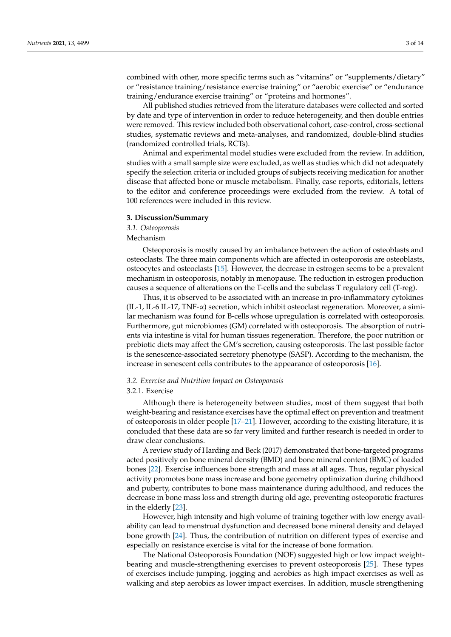combined with other, more specific terms such as "vitamins" or "supplements/dietary" or "resistance training/resistance exercise training" or "aerobic exercise" or "endurance training/endurance exercise training" or "proteins and hormones".

All published studies retrieved from the literature databases were collected and sorted by date and type of intervention in order to reduce heterogeneity, and then double entries were removed. This review included both observational cohort, case-control, cross-sectional studies, systematic reviews and meta-analyses, and randomized, double-blind studies (randomized controlled trials, RCTs).

Animal and experimental model studies were excluded from the review. In addition, studies with a small sample size were excluded, as well as studies which did not adequately specify the selection criteria or included groups of subjects receiving medication for another disease that affected bone or muscle metabolism. Finally, case reports, editorials, letters to the editor and conference proceedings were excluded from the review. A total of 100 references were included in this review.

#### **3. Discussion/Summary**

*3.1. Osteoporosis*

Mechanism

Osteoporosis is mostly caused by an imbalance between the action of osteoblasts and osteoclasts. The three main components which are affected in osteoporosis are osteoblasts, osteocytes and osteoclasts [\[15\]](#page-11-14). However, the decrease in estrogen seems to be a prevalent mechanism in osteoporosis, notably in menopause. The reduction in estrogen production causes a sequence of alterations on the T-cells and the subclass T regulatory cell (T-reg).

Thus, it is observed to be associated with an increase in pro-inflammatory cytokines (IL-1, IL-6 IL-17, TNF-α) secretion, which inhibit osteoclast regeneration. Moreover, a similar mechanism was found for B-cells whose upregulation is correlated with osteoporosis. Furthermore, gut microbiomes (GM) correlated with osteoporosis. The absorption of nutrients via intestine is vital for human tissues regeneration. Therefore, the poor nutrition or prebiotic diets may affect the GM's secretion, causing osteoporosis. The last possible factor is the senescence-associated secretory phenotype (SASP). According to the mechanism, the increase in senescent cells contributes to the appearance of osteoporosis [\[16\]](#page-11-15).

#### *3.2. Exercise and Nutrition Impact on Osteoporosis*

#### 3.2.1. Exercise

Although there is heterogeneity between studies, most of them suggest that both weight-bearing and resistance exercises have the optimal effect on prevention and treatment of osteoporosis in older people [\[17](#page-11-16)[–21\]](#page-12-0). However, according to the existing literature, it is concluded that these data are so far very limited and further research is needed in order to draw clear conclusions.

A review study of Harding and Beck (2017) demonstrated that bone-targeted programs acted positively on bone mineral density (BMD) and bone mineral content (BMC) of loaded bones [\[22\]](#page-12-1). Exercise influences bone strength and mass at all ages. Thus, regular physical activity promotes bone mass increase and bone geometry optimization during childhood and puberty, contributes to bone mass maintenance during adulthood, and reduces the decrease in bone mass loss and strength during old age, preventing osteoporotic fractures in the elderly [\[23\]](#page-12-2).

However, high intensity and high volume of training together with low energy availability can lead to menstrual dysfunction and decreased bone mineral density and delayed bone growth [\[24\]](#page-12-3). Thus, the contribution of nutrition on different types of exercise and especially on resistance exercise is vital for the increase of bone formation.

The National Osteoporosis Foundation (NOF) suggested high or low impact weightbearing and muscle-strengthening exercises to prevent osteoporosis [\[25\]](#page-12-4). These types of exercises include jumping, jogging and aerobics as high impact exercises as well as walking and step aerobics as lower impact exercises. In addition, muscle strengthening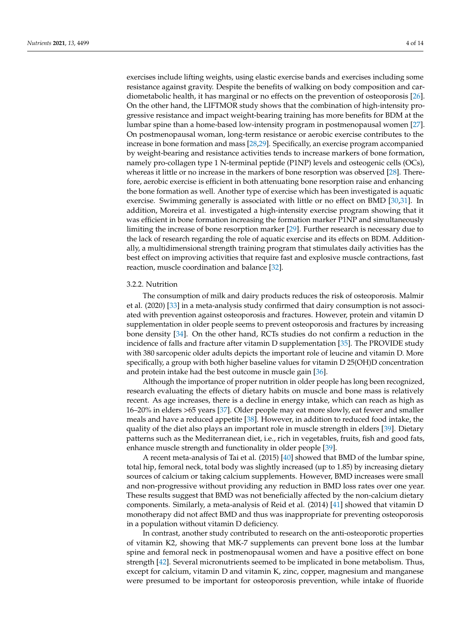exercises include lifting weights, using elastic exercise bands and exercises including some resistance against gravity. Despite the benefits of walking on body composition and cardiometabolic health, it has marginal or no effects on the prevention of osteoporosis [\[26\]](#page-12-5). On the other hand, the LIFTMOR study shows that the combination of high-intensity progressive resistance and impact weight-bearing training has more benefits for BDM at the lumbar spine than a home-based low-intensity program in postmenopausal women [\[27\]](#page-12-6). On postmenopausal woman, long-term resistance or aerobic exercise contributes to the increase in bone formation and mass [\[28](#page-12-7)[,29\]](#page-12-8). Specifically, an exercise program accompanied by weight-bearing and resistance activities tends to increase markers of bone formation, namely pro-collagen type 1 N-terminal peptide (P1NP) levels and osteogenic cells (OCs), whereas it little or no increase in the markers of bone resorption was observed [\[28\]](#page-12-7). Therefore, aerobic exercise is efficient in both attenuating bone resorption raise and enhancing the bone formation as well. Another type of exercise which has been investigated is aquatic exercise. Swimming generally is associated with little or no effect on BMD [\[30,](#page-12-9)[31\]](#page-12-10). In addition, Moreira et al. investigated a high-intensity exercise program showing that it was efficient in bone formation increasing the formation marker P1NP and simultaneously limiting the increase of bone resorption marker [\[29\]](#page-12-8). Further research is necessary due to the lack of research regarding the role of aquatic exercise and its effects on BDM. Additionally, a multidimensional strength training program that stimulates daily activities has the best effect on improving activities that require fast and explosive muscle contractions, fast reaction, muscle coordination and balance [\[32\]](#page-12-11).

### 3.2.2. Nutrition

The consumption of milk and dairy products reduces the risk of osteoporosis. Malmir et al. (2020) [\[33\]](#page-12-12) in a meta-analysis study confirmed that dairy consumption is not associated with prevention against osteoporosis and fractures. However, protein and vitamin D supplementation in older people seems to prevent osteoporosis and fractures by increasing bone density [\[34\]](#page-12-13). On the other hand, RCTs studies do not confirm a reduction in the incidence of falls and fracture after vitamin D supplementation [\[35\]](#page-12-14). The PROVIDE study with 380 sarcopenic older adults depicts the important role of leucine and vitamin D. More specifically, a group with both higher baseline values for vitamin D 25(OH)D concentration and protein intake had the best outcome in muscle gain [\[36\]](#page-12-15).

Although the importance of proper nutrition in older people has long been recognized, research evaluating the effects of dietary habits on muscle and bone mass is relatively recent. As age increases, there is a decline in energy intake, which can reach as high as 16–20% in elders >65 years [\[37\]](#page-12-16). Older people may eat more slowly, eat fewer and smaller meals and have a reduced appetite [\[38\]](#page-12-17). However, in addition to reduced food intake, the quality of the diet also plays an important role in muscle strength in elders [\[39\]](#page-12-18). Dietary patterns such as the Mediterranean diet, i.e., rich in vegetables, fruits, fish and good fats, enhance muscle strength and functionality in older people [\[39\]](#page-12-18).

A recent meta-analysis of Tai et al. (2015) [\[40\]](#page-12-19) showed that BMD of the lumbar spine, total hip, femoral neck, total body was slightly increased (up to 1.85) by increasing dietary sources of calcium or taking calcium supplements. However, BMD increases were small and non-progressive without providing any reduction in BMD loss rates over one year. These results suggest that BMD was not beneficially affected by the non-calcium dietary components. Similarly, a meta-analysis of Reid et al. (2014) [\[41\]](#page-12-20) showed that vitamin D monotherapy did not affect BMD and thus was inappropriate for preventing osteoporosis in a population without vitamin D deficiency.

In contrast, another study contributed to research on the anti-osteoporotic properties of vitamin K2, showing that MK-7 supplements can prevent bone loss at the lumbar spine and femoral neck in postmenopausal women and have a positive effect on bone strength [\[42\]](#page-12-21). Several micronutrients seemed to be implicated in bone metabolism. Thus, except for calcium, vitamin D and vitamin K, zinc, copper, magnesium and manganese were presumed to be important for osteoporosis prevention, while intake of fluoride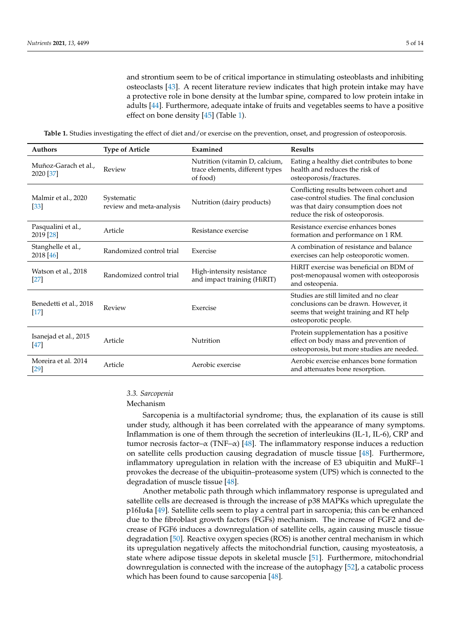and strontium seem to be of critical importance in stimulating osteoblasts and inhibiting osteoclasts [\[43\]](#page-12-22). A recent literature review indicates that high protein intake may have a protective role in bone density at the lumbar spine, compared to low protein intake in adults [\[44\]](#page-12-23). Furthermore, adequate intake of fruits and vegetables seems to have a positive effect on bone density [\[45\]](#page-13-0) (Table [1\)](#page-6-0).

<span id="page-6-0"></span>**Table 1.** Studies investigating the effect of diet and/or exercise on the prevention, onset, and progression of osteoporosis.

| <b>Authors</b>                    | <b>Type of Article</b>                 | Examined                                                                      | <b>Results</b>                                                                                                                                                  |
|-----------------------------------|----------------------------------------|-------------------------------------------------------------------------------|-----------------------------------------------------------------------------------------------------------------------------------------------------------------|
| Muñoz-Garach et al.,<br>2020 [37] | Review                                 | Nutrition (vitamin D, calcium,<br>trace elements, different types<br>of food) | Eating a healthy diet contributes to bone<br>health and reduces the risk of<br>osteoporosis/fractures.                                                          |
| Malmir et al., 2020<br>$[33]$     | Systematic<br>review and meta-analysis | Nutrition (dairy products)                                                    | Conflicting results between cohort and<br>case-control studies. The final conclusion<br>was that dairy consumption does not<br>reduce the risk of osteoporosis. |
| Pasqualini et al.,<br>2019 [28]   | Article                                | Resistance exercise                                                           | Resistance exercise enhances bones<br>formation and performance on 1 RM.                                                                                        |
| Stanghelle et al.,<br>2018 [46]   | Randomized control trial               | Exercise                                                                      | A combination of resistance and balance<br>exercises can help osteoporotic women.                                                                               |
| Watson et al., 2018<br>$[27]$     | Randomized control trial               | High-intensity resistance<br>and impact training (HiRIT)                      | HiRIT exercise was beneficial on BDM of<br>post-menopausal women with osteoporosis<br>and osteopenia.                                                           |
| Benedetti et al., 2018<br>$[17]$  | Review                                 | Exercise                                                                      | Studies are still limited and no clear<br>conclusions can be drawn. However, it<br>seems that weight training and RT help<br>osteoporotic people.               |
| Isanejad et al., 2015<br>$[47]$   | Article                                | Nutrition                                                                     | Protein supplementation has a positive<br>effect on body mass and prevention of<br>osteoporosis, but more studies are needed.                                   |
| Moreira et al. 2014<br>$[29]$     | Article                                | Aerobic exercise                                                              | Aerobic exercise enhances bone formation<br>and attenuates bone resorption.                                                                                     |

## *3.3. Sarcopenia*

#### Mechanism

Sarcopenia is a multifactorial syndrome; thus, the explanation of its cause is still under study, although it has been correlated with the appearance of many symptoms. Inflammation is one of them through the secretion of interleukins (IL-1, IL-6), CRP and tumor necrosis factor– $\alpha$  (TNF– $\alpha$ ) [\[48\]](#page-13-3). The inflammatory response induces a reduction on satellite cells production causing degradation of muscle tissue [\[48\]](#page-13-3). Furthermore, inflammatory upregulation in relation with the increase of E3 ubiquitin and MuRF–1 provokes the decrease of the ubiquitin–proteasome system (UPS) which is connected to the degradation of muscle tissue [\[48\]](#page-13-3).

Another metabolic path through which inflammatory response is upregulated and satellite cells are decreased is through the increase of p38 MAPKs which upregulate the p16Iu4a [\[49\]](#page-13-4). Satellite cells seem to play a central part in sarcopenia; this can be enhanced due to the fibroblast growth factors (FGFs) mechanism. The increase of FGF2 and decrease of FGF6 induces a downregulation of satellite cells, again causing muscle tissue degradation [\[50\]](#page-13-5). Reactive oxygen species (ROS) is another central mechanism in which its upregulation negatively affects the mitochondrial function, causing myosteatosis, a state where adipose tissue depots in skeletal muscle [\[51\]](#page-13-6). Furthermore, mitochondrial downregulation is connected with the increase of the autophagy [\[52\]](#page-13-7), a catabolic process which has been found to cause sarcopenia [\[48\]](#page-13-3).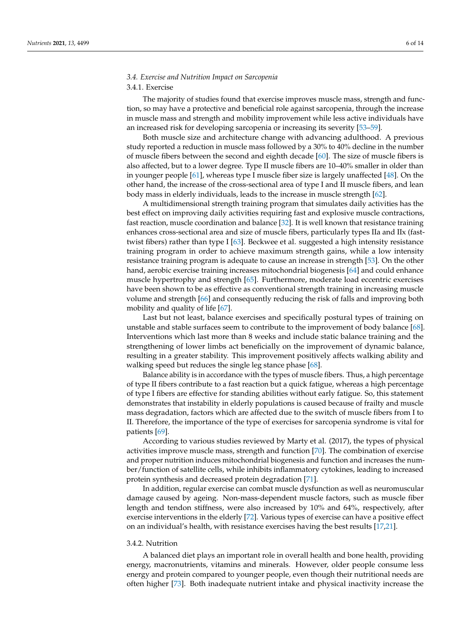# *3.4. Exercise and Nutrition Impact on Sarcopenia*

## 3.4.1. Exercise

The majority of studies found that exercise improves muscle mass, strength and function, so may have a protective and beneficial role against sarcopenia, through the increase in muscle mass and strength and mobility improvement while less active individuals have an increased risk for developing sarcopenia or increasing its severity [\[53](#page-13-8)[–59\]](#page-13-9).

Both muscle size and architecture change with advancing adulthood. A previous study reported a reduction in muscle mass followed by a 30% to 40% decline in the number of muscle fibers between the second and eighth decade [\[60\]](#page-13-10). The size of muscle fibers is also affected, but to a lower degree. Type II muscle fibers are 10–40% smaller in older than in younger people [\[61\]](#page-13-11), whereas type I muscle fiber size is largely unaffected [\[48\]](#page-13-3). On the other hand, the increase of the cross-sectional area of type I and II muscle fibers, and lean body mass in elderly individuals, leads to the increase in muscle strength [\[62\]](#page-13-12).

A multidimensional strength training program that simulates daily activities has the best effect on improving daily activities requiring fast and explosive muscle contractions, fast reaction, muscle coordination and balance [\[32\]](#page-12-11). It is well known that resistance training enhances cross-sectional area and size of muscle fibers, particularly types IIa and IIx (fasttwist fibers) rather than type I [\[63\]](#page-13-13). Beckwee et al. suggested a high intensity resistance training program in order to achieve maximum strength gains, while a low intensity resistance training program is adequate to cause an increase in strength [\[53\]](#page-13-8). On the other hand, aerobic exercise training increases mitochondrial biogenesis [\[64\]](#page-13-14) and could enhance muscle hypertrophy and strength [\[65\]](#page-13-15). Furthermore, moderate load eccentric exercises have been shown to be as effective as conventional strength training in increasing muscle volume and strength [\[66\]](#page-13-16) and consequently reducing the risk of falls and improving both mobility and quality of life [\[67\]](#page-13-17).

Last but not least, balance exercises and specifically postural types of training on unstable and stable surfaces seem to contribute to the improvement of body balance [\[68\]](#page-13-18). Interventions which last more than 8 weeks and include static balance training and the strengthening of lower limbs act beneficially on the improvement of dynamic balance, resulting in a greater stability. This improvement positively affects walking ability and walking speed but reduces the single leg stance phase [\[68\]](#page-13-18).

Balance ability is in accordance with the types of muscle fibers. Thus, a high percentage of type II fibers contribute to a fast reaction but a quick fatigue, whereas a high percentage of type I fibers are effective for standing abilities without early fatigue. So, this statement demonstrates that instability in elderly populations is caused because of frailty and muscle mass degradation, factors which are affected due to the switch of muscle fibers from I to II. Therefore, the importance of the type of exercises for sarcopenia syndrome is vital for patients [\[69\]](#page-13-19).

According to various studies reviewed by Marty et al. (2017), the types of physical activities improve muscle mass, strength and function [\[70\]](#page-13-20). The combination of exercise and proper nutrition induces mitochondrial biogenesis and function and increases the number/function of satellite cells, while inhibits inflammatory cytokines, leading to increased protein synthesis and decreased protein degradation [\[71\]](#page-14-0).

In addition, regular exercise can combat muscle dysfunction as well as neuromuscular damage caused by ageing. Non-mass-dependent muscle factors, such as muscle fiber length and tendon stiffness, were also increased by 10% and 64%, respectively, after exercise interventions in the elderly [\[72\]](#page-14-1). Various types of exercise can have a positive effect on an individual's health, with resistance exercises having the best results [\[17](#page-11-16)[,21\]](#page-12-0).

## 3.4.2. Nutrition

A balanced diet plays an important role in overall health and bone health, providing energy, macronutrients, vitamins and minerals. However, older people consume less energy and protein compared to younger people, even though their nutritional needs are often higher [\[73\]](#page-14-2). Both inadequate nutrient intake and physical inactivity increase the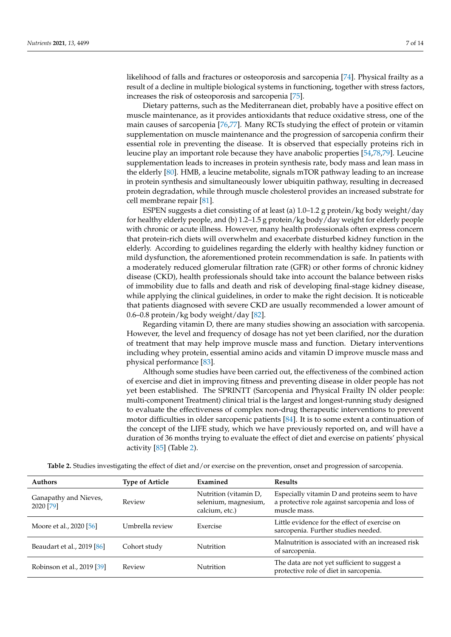likelihood of falls and fractures or osteoporosis and sarcopenia [\[74\]](#page-14-3). Physical frailty as a result of a decline in multiple biological systems in functioning, together with stress factors, increases the risk of osteoporosis and sarcopenia [\[75\]](#page-14-4).

Dietary patterns, such as the Mediterranean diet, probably have a positive effect on muscle maintenance, as it provides antioxidants that reduce oxidative stress, one of the main causes of sarcopenia [\[76](#page-14-5)[,77\]](#page-14-6). Many RCTs studying the effect of protein or vitamin supplementation on muscle maintenance and the progression of sarcopenia confirm their essential role in preventing the disease. It is observed that especially proteins rich in leucine play an important role because they have anabolic properties [\[54,](#page-13-21)[78](#page-14-7)[,79\]](#page-14-8). Leucine supplementation leads to increases in protein synthesis rate, body mass and lean mass in the elderly [\[80\]](#page-14-9). HMB, a leucine metabolite, signals mTOR pathway leading to an increase in protein synthesis and simultaneously lower ubiquitin pathway, resulting in decreased protein degradation, while through muscle cholesterol provides an increased substrate for cell membrane repair [\[81\]](#page-14-10).

ESPEN suggests a diet consisting of at least (a) 1.0–1.2 g protein/kg body weight/day for healthy elderly people, and (b) 1.2–1.5 g protein/kg body/day weight for elderly people with chronic or acute illness. However, many health professionals often express concern that protein-rich diets will overwhelm and exacerbate disturbed kidney function in the elderly. According to guidelines regarding the elderly with healthy kidney function or mild dysfunction, the aforementioned protein recommendation is safe. In patients with a moderately reduced glomerular filtration rate (GFR) or other forms of chronic kidney disease (CKD), health professionals should take into account the balance between risks of immobility due to falls and death and risk of developing final-stage kidney disease, while applying the clinical guidelines, in order to make the right decision. It is noticeable that patients diagnosed with severe CKD are usually recommended a lower amount of 0.6–0.8 protein/kg body weight/day [\[82\]](#page-14-11).

Regarding vitamin D, there are many studies showing an association with sarcopenia. However, the level and frequency of dosage has not yet been clarified, nor the duration of treatment that may help improve muscle mass and function. Dietary interventions including whey protein, essential amino acids and vitamin D improve muscle mass and physical performance [\[83\]](#page-14-12).

Although some studies have been carried out, the effectiveness of the combined action of exercise and diet in improving fitness and preventing disease in older people has not yet been established. The SPRINTT (Sarcopenia and Physical Frailty IN older people: multi-component Treatment) clinical trial is the largest and longest-running study designed to evaluate the effectiveness of complex non-drug therapeutic interventions to prevent motor difficulties in older sarcopenic patients [\[84\]](#page-14-13). It is to some extent a continuation of the concept of the LIFE study, which we have previously reported on, and will have a duration of 36 months trying to evaluate the effect of diet and exercise on patients' physical activity [\[85\]](#page-14-14) (Table [2\)](#page-9-0).

| <b>Authors</b>                     | <b>Type of Article</b> | Examined                                                        | <b>Results</b>                                                                                                     |
|------------------------------------|------------------------|-----------------------------------------------------------------|--------------------------------------------------------------------------------------------------------------------|
| Ganapathy and Nieves,<br>2020 [79] | Review                 | Nutrition (vitamin D,<br>selenium, magnesium,<br>calcium, etc.) | Especially vitamin D and proteins seem to have<br>a protective role against sarcopenia and loss of<br>muscle mass. |
| Moore et al., 2020 [56]            | Umbrella review        | Exercise                                                        | Little evidence for the effect of exercise on<br>sarcopenia. Further studies needed.                               |
| Beaudart et al., 2019 [86]         | Cohort study           | <b>Nutrition</b>                                                | Malnutrition is associated with an increased risk<br>of sarcopenia.                                                |
| Robinson et al., 2019 [39]         | Review                 | Nutrition                                                       | The data are not yet sufficient to suggest a<br>protective role of diet in sarcopenia.                             |

**Table 2.** Studies investigating the effect of diet and/or exercise on the prevention, onset and progression of sarcopenia.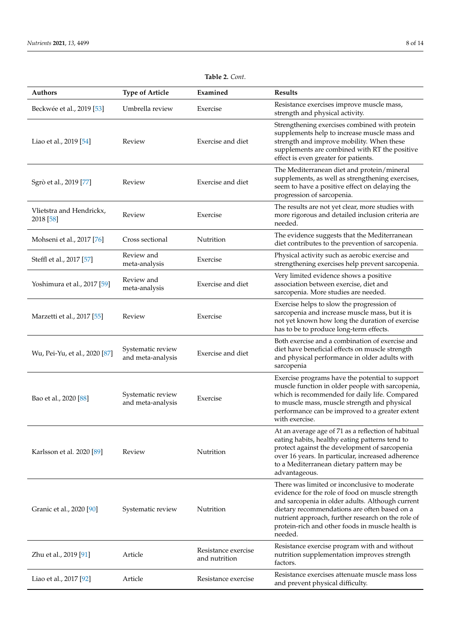<span id="page-9-0"></span>

| <b>Authors</b>                        | <b>Type of Article</b>                 | Examined                             | <b>Results</b>                                                                                                                                                                                                                                                                                                             |
|---------------------------------------|----------------------------------------|--------------------------------------|----------------------------------------------------------------------------------------------------------------------------------------------------------------------------------------------------------------------------------------------------------------------------------------------------------------------------|
| Beckwée et al., 2019 [53]             | Umbrella review                        | Exercise                             | Resistance exercises improve muscle mass,<br>strength and physical activity.                                                                                                                                                                                                                                               |
| Liao et al., 2019 [54]                | Review                                 | Exercise and diet                    | Strengthening exercises combined with protein<br>supplements help to increase muscle mass and<br>strength and improve mobility. When these<br>supplements are combined with RT the positive<br>effect is even greater for patients.                                                                                        |
| Sgrò et al., 2019 [77]                | Review                                 | Exercise and diet                    | The Mediterranean diet and protein/mineral<br>supplements, as well as strengthening exercises,<br>seem to have a positive effect on delaying the<br>progression of sarcopenia.                                                                                                                                             |
| Vlietstra and Hendrickx,<br>2018 [58] | Review                                 | Exercise                             | The results are not yet clear, more studies with<br>more rigorous and detailed inclusion criteria are<br>needed.                                                                                                                                                                                                           |
| Mohseni et al., 2017 [76]             | Cross sectional                        | Nutrition                            | The evidence suggests that the Mediterranean<br>diet contributes to the prevention of sarcopenia.                                                                                                                                                                                                                          |
| Steffl et al., 2017 [57]              | Review and<br>meta-analysis            | Exercise                             | Physical activity such as aerobic exercise and<br>strengthening exercises help prevent sarcopenia.                                                                                                                                                                                                                         |
| Yoshimura et al., 2017 [59]           | Review and<br>meta-analysis            | Exercise and diet                    | Very limited evidence shows a positive<br>association between exercise, diet and<br>sarcopenia. More studies are needed.                                                                                                                                                                                                   |
| Marzetti et al., 2017 [55]            | Review                                 | Exercise                             | Exercise helps to slow the progression of<br>sarcopenia and increase muscle mass, but it is<br>not yet known how long the duration of exercise<br>has to be to produce long-term effects.                                                                                                                                  |
| Wu, Pei-Yu, et al., 2020 [87]         | Systematic review<br>and meta-analysis | Exercise and diet                    | Both exercise and a combination of exercise and<br>diet have beneficial effects on muscle strength<br>and physical performance in older adults with<br>sarcopenia                                                                                                                                                          |
| Bao et al., 2020 [88]                 | Systematic review<br>and meta-analysis | Exercise                             | Exercise programs have the potential to support<br>muscle function in older people with sarcopenia,<br>which is recommended for daily life. Compared<br>to muscle mass, muscle strength and physical<br>performance can be improved to a greater extent<br>with exercise.                                                  |
| Karlsson et al. 2020 [89]             | Review                                 | Nutrition                            | At an average age of 71 as a reflection of habitual<br>eating habits, healthy eating patterns tend to<br>protect against the development of sarcopenia<br>over 16 years. In particular, increased adherence<br>to a Mediterranean dietary pattern may be<br>advantageous.                                                  |
| Granic et al., 2020 [90]              | Systematic review                      | Nutrition                            | There was limited or inconclusive to moderate<br>evidence for the role of food on muscle strength<br>and sarcopenia in older adults. Although current<br>dietary recommendations are often based on a<br>nutrient approach, further research on the role of<br>protein-rich and other foods in muscle health is<br>needed. |
| Zhu et al., 2019 [91]                 | Article                                | Resistance exercise<br>and nutrition | Resistance exercise program with and without<br>nutrition supplementation improves strength<br>factors.                                                                                                                                                                                                                    |
| Liao et al., 2017 [92]                | Article                                | Resistance exercise                  | Resistance exercises attenuate muscle mass loss<br>and prevent physical difficulty.                                                                                                                                                                                                                                        |

# **Table 2.** *Cont*.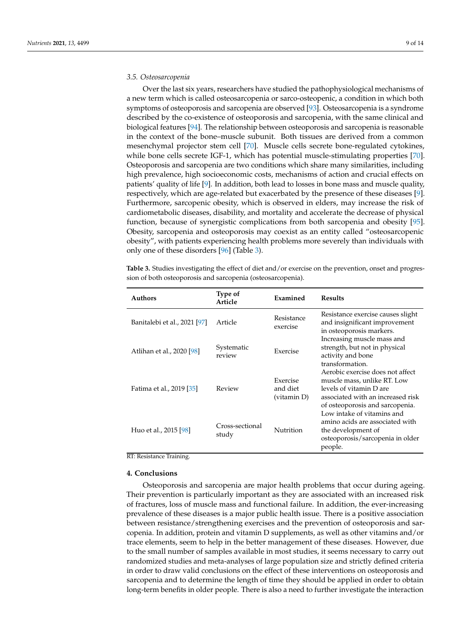#### *3.5. Osteosarcopenia*

Over the last six years, researchers have studied the pathophysiological mechanisms of a new term which is called osteosarcopenia or sarco-osteopenic, a condition in which both symptoms of osteoporosis and sarcopenia are observed [\[93\]](#page-14-22). Osteosarcopenia is a syndrome described by the co-existence of osteoporosis and sarcopenia, with the same clinical and biological features [\[94\]](#page-14-23). The relationship between osteoporosis and sarcopenia is reasonable in the context of the bone–muscle subunit. Both tissues are derived from a common mesenchymal projector stem cell [\[70\]](#page-13-20). Muscle cells secrete bone-regulated cytokines, while bone cells secrete IGF-1, which has potential muscle-stimulating properties [\[70\]](#page-13-20). Osteoporosis and sarcopenia are two conditions which share many similarities, including high prevalence, high socioeconomic costs, mechanisms of action and crucial effects on patients' quality of life [\[9\]](#page-11-8). In addition, both lead to losses in bone mass and muscle quality, respectively, which are age-related but exacerbated by the presence of these diseases [\[9\]](#page-11-8). Furthermore, sarcopenic obesity, which is observed in elders, may increase the risk of cardiometabolic diseases, disability, and mortality and accelerate the decrease of physical function, because of synergistic complications from both sarcopenia and obesity [\[95\]](#page-14-24). Obesity, sarcopenia and osteoporosis may coexist as an entity called "osteosarcopenic obesity", with patients experiencing health problems more severely than individuals with only one of these disorders [\[96\]](#page-14-25) (Table [3\)](#page-10-0).

<span id="page-10-0"></span>**Table 3.** Studies investigating the effect of diet and/or exercise on the prevention, onset and progression of both osteoporosis and sarcopenia (osteosarcopenia).

| <b>Authors</b>               | Type of<br>Article       | Examined                            | <b>Results</b>                                                                                                                                                     |
|------------------------------|--------------------------|-------------------------------------|--------------------------------------------------------------------------------------------------------------------------------------------------------------------|
| Banitalebi et al., 2021 [97] | Article                  | Resistance<br>exercise              | Resistance exercise causes slight<br>and insignificant improvement<br>in osteoporosis markers.                                                                     |
| Atlihan et al., 2020 [98]    | Systematic<br>review     | Exercise                            | Increasing muscle mass and<br>strength, but not in physical<br>activity and bone<br>transformation.                                                                |
| Fatima et al., 2019 [35]     | Review                   | Exercise<br>and diet<br>(vitamin D) | Aerobic exercise does not affect<br>muscle mass, unlike RT. Low<br>levels of vitamin D are<br>associated with an increased risk<br>of osteoporosis and sarcopenia. |
| Huo et al., 2015 [98]        | Cross-sectional<br>study | <b>Nutrition</b>                    | Low intake of vitamins and<br>amino acids are associated with<br>the development of<br>osteoporosis/sarcopenia in older<br>people.                                 |

#### RT: Resistance Training.

#### **4. Conclusions**

Osteoporosis and sarcopenia are major health problems that occur during ageing. Their prevention is particularly important as they are associated with an increased risk of fractures, loss of muscle mass and functional failure. In addition, the ever-increasing prevalence of these diseases is a major public health issue. There is a positive association between resistance/strengthening exercises and the prevention of osteoporosis and sarcopenia. In addition, protein and vitamin D supplements, as well as other vitamins and/or trace elements, seem to help in the better management of these diseases. However, due to the small number of samples available in most studies, it seems necessary to carry out randomized studies and meta-analyses of large population size and strictly defined criteria in order to draw valid conclusions on the effect of these interventions on osteoporosis and sarcopenia and to determine the length of time they should be applied in order to obtain long-term benefits in older people. There is also a need to further investigate the interaction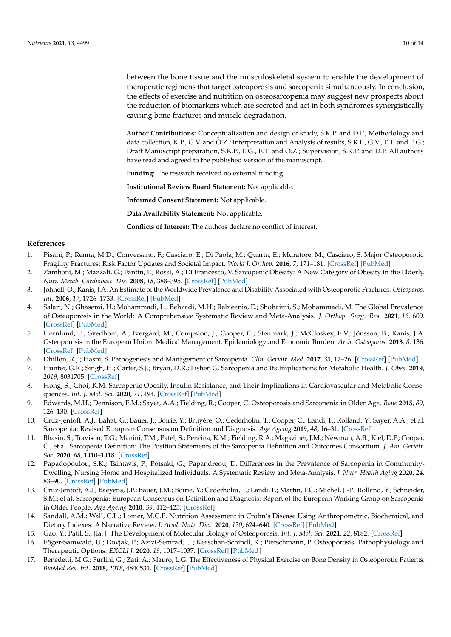between the bone tissue and the musculoskeletal system to enable the development of therapeutic regimens that target osteoporosis and sarcopenia simultaneously. In conclusion, the effects of exercise and nutrition on osteosarcopenia may suggest new prospects about the reduction of biomarkers which are secreted and act in both syndromes synergistically causing bone fractures and muscle degradation.

**Author Contributions:** Conceptualization and design of study, S.K.P. and D.P.; Methodology and data collection, K.P., G.V. and O.Z.; Interpretation and Analysis of results, S.K.P., G.V., E.T. and E.G.; Draft Manuscript preparation, S.K.P., E.G., E.T. and O.Z.; Supervision, S.K.P. and D.P. All authors have read and agreed to the published version of the manuscript.

**Funding:** The research received no external funding.

**Institutional Review Board Statement:** Not applicable.

**Informed Consent Statement:** Not applicable.

**Data Availability Statement:** Not applicable.

**Conflicts of Interest:** The authors declare no conflict of interest.

#### **References**

- <span id="page-11-0"></span>1. Pisani, P.; Renna, M.D.; Conversano, F.; Casciaro, E.; Di Paola, M.; Quarta, E.; Muratore, M.; Casciaro, S. Major Osteoporotic Fragility Fractures: Risk Factor Updates and Societal Impact. *World J. Orthop.* **2016**, *7*, 171–181. [\[CrossRef\]](http://doi.org/10.5312/wjo.v7.i3.171) [\[PubMed\]](http://www.ncbi.nlm.nih.gov/pubmed/27004165)
- <span id="page-11-1"></span>2. Zamboni, M.; Mazzali, G.; Fantin, F.; Rossi, A.; Di Francesco, V. Sarcopenic Obesity: A New Category of Obesity in the Elderly. *Nutr. Metab. Cardiovasc. Dis.* **2008**, *18*, 388–395. [\[CrossRef\]](http://doi.org/10.1016/j.numecd.2007.10.002) [\[PubMed\]](http://www.ncbi.nlm.nih.gov/pubmed/18395429)
- <span id="page-11-2"></span>3. Johnell, O.; Kanis, J.A. An Estimate of the Worldwide Prevalence and Disability Associated with Osteoporotic Fractures. *Osteoporos. Int.* **2006**, *17*, 1726–1733. [\[CrossRef\]](http://doi.org/10.1007/s00198-006-0172-4) [\[PubMed\]](http://www.ncbi.nlm.nih.gov/pubmed/16983459)
- <span id="page-11-3"></span>4. Salari, N.; Ghasemi, H.; Mohammadi, L.; Behzadi, M.H.; Rabieenia, E.; Shohaimi, S.; Mohammadi, M. The Global Prevalence of Osteoporosis in the World: A Comprehensive Systematic Review and Meta-Analysis. *J. Orthop. Surg. Res.* **2021**, *16*, 609. [\[CrossRef\]](http://doi.org/10.1186/s13018-021-02772-0) [\[PubMed\]](http://www.ncbi.nlm.nih.gov/pubmed/34657598)
- <span id="page-11-4"></span>5. Hernlund, E.; Svedbom, A.; Ivergård, M.; Compston, J.; Cooper, C.; Stenmark, J.; McCloskey, E.V.; Jönsson, B.; Kanis, J.A. Osteoporosis in the European Union: Medical Management, Epidemiology and Economic Burden. *Arch. Osteoporos.* **2013**, *8*, 136. [\[CrossRef\]](http://doi.org/10.1007/s11657-013-0136-1) [\[PubMed\]](http://www.ncbi.nlm.nih.gov/pubmed/24113837)
- <span id="page-11-5"></span>6. Dhillon, R.J.; Hasni, S. Pathogenesis and Management of Sarcopenia. *Clin. Geriatr. Med.* **2017**, *33*, 17–26. [\[CrossRef\]](http://doi.org/10.1016/j.cger.2016.08.002) [\[PubMed\]](http://www.ncbi.nlm.nih.gov/pubmed/27886695)
- <span id="page-11-6"></span>7. Hunter, G.R.; Singh, H.; Carter, S.J.; Bryan, D.R.; Fisher, G. Sarcopenia and Its Implications for Metabolic Health. *J. Obes.* **2019**, *2019*, 8031705. [\[CrossRef\]](http://doi.org/10.1155/2019/8031705)
- <span id="page-11-7"></span>8. Hong, S.; Choi, K.M. Sarcopenic Obesity, Insulin Resistance, and Their Implications in Cardiovascular and Metabolic Consequences. *Int. J. Mol. Sci.* **2020**, *21*, 494. [\[CrossRef\]](http://doi.org/10.3390/ijms21020494) [\[PubMed\]](http://www.ncbi.nlm.nih.gov/pubmed/31941015)
- <span id="page-11-8"></span>9. Edwards, M.H.; Dennison, E.M.; Sayer, A.A.; Fielding, R.; Cooper, C. Osteoporosis and Sarcopenia in Older Age. *Bone* **2015**, *80*, 126–130. [\[CrossRef\]](http://doi.org/10.1016/j.bone.2015.04.016)
- <span id="page-11-9"></span>10. Cruz-Jentoft, A.J.; Bahat, G.; Bauer, J.; Boirie, Y.; Bruyère, O.; Cederholm, T.; Cooper, C.; Landi, F.; Rolland, Y.; Sayer, A.A.; et al. Sarcopenia: Revised European Consensus on Definition and Diagnosis. *Age Ageing* **2019**, *48*, 16–31. [\[CrossRef\]](http://doi.org/10.1093/ageing/afy169)
- <span id="page-11-10"></span>11. Bhasin, S.; Travison, T.G.; Manini, T.M.; Patel, S.; Pencina, K.M.; Fielding, R.A.; Magaziner, J.M.; Newman, A.B.; Kiel, D.P.; Cooper, C.; et al. Sarcopenia Definition: The Position Statements of the Sarcopenia Definition and Outcomes Consortium. *J. Am. Geriatr. Soc.* **2020**, *68*, 1410–1418. [\[CrossRef\]](http://doi.org/10.1111/jgs.16372)
- <span id="page-11-11"></span>12. Papadopoulou, S.K.; Tsintavis, P.; Potsaki, G.; Papandreou, D. Differences in the Prevalence of Sarcopenia in Community-Dwelling, Nursing Home and Hospitalized Individuals. A Systematic Review and Meta-Analysis. *J. Nutr. Health Aging* **2020**, *24*, 83–90. [\[CrossRef\]](http://doi.org/10.1007/s12603-019-1267-x) [\[PubMed\]](http://www.ncbi.nlm.nih.gov/pubmed/31886813)
- <span id="page-11-12"></span>13. Cruz-Jentoft, A.J.; Baeyens, J.P.; Bauer, J.M.; Boirie, Y.; Cederholm, T.; Landi, F.; Martin, F.C.; Michel, J.-P.; Rolland, Y.; Schneider, S.M.; et al. Sarcopenia: European Consensus on Definition and Diagnosis: Report of the European Working Group on Sarcopenia in Older People. *Age Ageing* **2010**, *39*, 412–423. [\[CrossRef\]](http://doi.org/10.1093/ageing/afq034)
- <span id="page-11-13"></span>14. Sandall, A.M.; Wall, C.L.; Lomer, M.C.E. Nutrition Assessment in Crohn's Disease Using Anthropometric, Biochemical, and Dietary Indexes: A Narrative Review. *J. Acad. Nutr. Diet.* **2020**, *120*, 624–640. [\[CrossRef\]](http://doi.org/10.1016/j.jand.2019.04.013) [\[PubMed\]](http://www.ncbi.nlm.nih.gov/pubmed/31248791)
- <span id="page-11-14"></span>15. Gao, Y.; Patil, S.; Jia, J. The Development of Molecular Biology of Osteoporosis. *Int. J. Mol. Sci.* **2021**, *22*, 8182. [\[CrossRef\]](http://doi.org/10.3390/ijms22158182)
- <span id="page-11-15"></span>16. Föger-Samwald, U.; Dovjak, P.; Azizi-Semrad, U.; Kerschan-Schindl, K.; Pietschmann, P. Osteoporosis: Pathophysiology and Therapeutic Options. *EXCLI J.* **2020**, *19*, 1017–1037. [\[CrossRef\]](http://doi.org/10.17179/excli2020-2591) [\[PubMed\]](http://www.ncbi.nlm.nih.gov/pubmed/32788914)
- <span id="page-11-16"></span>17. Benedetti, M.G.; Furlini, G.; Zati, A.; Mauro, L.G. The Effectiveness of Physical Exercise on Bone Density in Osteoporotic Patients. *BioMed Res. Int.* **2018**, *2018*, 4840531. [\[CrossRef\]](http://doi.org/10.1155/2018/4840531) [\[PubMed\]](http://www.ncbi.nlm.nih.gov/pubmed/30671455)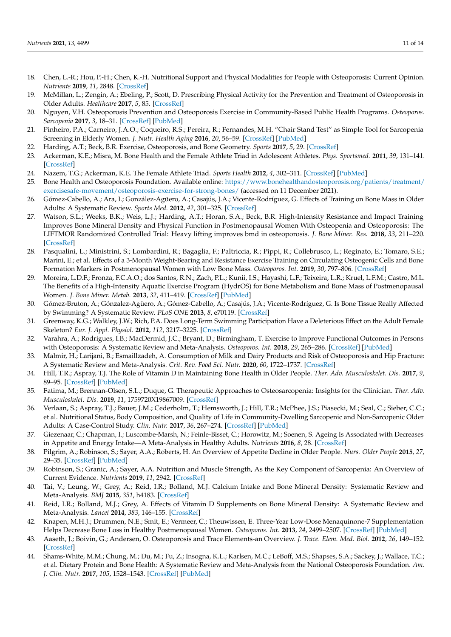- 18. Chen, L.-R.; Hou, P.-H.; Chen, K.-H. Nutritional Support and Physical Modalities for People with Osteoporosis: Current Opinion. *Nutrients* **2019**, *11*, 2848. [\[CrossRef\]](http://doi.org/10.3390/nu11122848)
- 19. McMillan, L.; Zengin, A.; Ebeling, P.; Scott, D. Prescribing Physical Activity for the Prevention and Treatment of Osteoporosis in Older Adults. *Healthcare* **2017**, *5*, 85. [\[CrossRef\]](http://doi.org/10.3390/healthcare5040085)
- 20. Nguyen, V.H. Osteoporosis Prevention and Osteoporosis Exercise in Community-Based Public Health Programs. *Osteoporos. Sarcopenia* **2017**, *3*, 18–31. [\[CrossRef\]](http://doi.org/10.1016/j.afos.2016.11.004) [\[PubMed\]](http://www.ncbi.nlm.nih.gov/pubmed/30775499)
- <span id="page-12-0"></span>21. Pinheiro, P.A.; Carneiro, J.A.O.; Coqueiro, R.S.; Pereira, R.; Fernandes, M.H. "Chair Stand Test" as Simple Tool for Sarcopenia Screening in Elderly Women. *J. Nutr. Health Aging* **2016**, *20*, 56–59. [\[CrossRef\]](http://doi.org/10.1007/s12603-016-0676-3) [\[PubMed\]](http://www.ncbi.nlm.nih.gov/pubmed/26728934)
- <span id="page-12-1"></span>22. Harding, A.T.; Beck, B.R. Exercise, Osteoporosis, and Bone Geometry. *Sports* **2017**, *5*, 29. [\[CrossRef\]](http://doi.org/10.3390/sports5020029)
- <span id="page-12-2"></span>23. Ackerman, K.E.; Misra, M. Bone Health and the Female Athlete Triad in Adolescent Athletes. *Phys. Sportsmed.* **2011**, *39*, 131–141. [\[CrossRef\]](http://doi.org/10.3810/psm.2011.02.1871)
- <span id="page-12-3"></span>24. Nazem, T.G.; Ackerman, K.E. The Female Athlete Triad. *Sports Health* **2012**, *4*, 302–311. [\[CrossRef\]](http://doi.org/10.1177/1941738112439685) [\[PubMed\]](http://www.ncbi.nlm.nih.gov/pubmed/23016101)
- <span id="page-12-4"></span>25. Bone Health and Osteoporosis Foundation. Available online: [https://www.bonehealthandosteoporosis.org/patients/treatment/](https://www.bonehealthandosteoporosis.org/patients/treatment/exercisesafe-movement/osteoporosis-exercise-for-strong-bones/) [exercisesafe-movement/osteoporosis-exercise-for-strong-bones/](https://www.bonehealthandosteoporosis.org/patients/treatment/exercisesafe-movement/osteoporosis-exercise-for-strong-bones/) (accessed on 11 December 2021).
- <span id="page-12-5"></span>26. Gómez-Cabello, A.; Ara, I.; González-Agüero, A.; Casajús, J.A.; Vicente-Rodríguez, G. Effects of Training on Bone Mass in Older Adults: A Systematic Review. *Sports Med.* **2012**, *42*, 301–325. [\[CrossRef\]](http://doi.org/10.2165/11597670-000000000-00000)
- <span id="page-12-6"></span>27. Watson, S.L.; Weeks, B.K.; Weis, L.J.; Harding, A.T.; Horan, S.A.; Beck, B.R. High-Intensity Resistance and Impact Training Improves Bone Mineral Density and Physical Function in Postmenopausal Women With Osteopenia and Osteoporosis: The LIFTMOR Randomized Controlled Trial: Heavy lifting improves bmd in osteoporosis. *J. Bone Miner. Res.* **2018**, *33*, 211–220. [\[CrossRef\]](http://doi.org/10.1002/jbmr.3284)
- <span id="page-12-7"></span>28. Pasqualini, L.; Ministrini, S.; Lombardini, R.; Bagaglia, F.; Paltriccia, R.; Pippi, R.; Collebrusco, L.; Reginato, E.; Tomaro, S.E.; Marini, E.; et al. Effects of a 3-Month Weight-Bearing and Resistance Exercise Training on Circulating Osteogenic Cells and Bone Formation Markers in Postmenopausal Women with Low Bone Mass. *Osteoporos. Int.* **2019**, *30*, 797–806. [\[CrossRef\]](http://doi.org/10.1007/s00198-019-04908-9)
- <span id="page-12-8"></span>29. Moreira, L.D.F.; Fronza, F.C.A.O.; dos Santos, R.N.; Zach, P.L.; Kunii, I.S.; Hayashi, L.F.; Teixeira, L.R.; Kruel, L.F.M.; Castro, M.L. The Benefits of a High-Intensity Aquatic Exercise Program (HydrOS) for Bone Metabolism and Bone Mass of Postmenopausal Women. *J. Bone Miner. Metab.* **2013**, *32*, 411–419. [\[CrossRef\]](http://doi.org/10.1007/s00774-013-0509-y) [\[PubMed\]](http://www.ncbi.nlm.nih.gov/pubmed/24048909)
- <span id="page-12-9"></span>30. Gómez-Bruton, A.; Gónzalez-Agüero, A.; Gómez-Cabello, A.; Casajús, J.A.; Vicente-Rodríguez, G. Is Bone Tissue Really Affected by Swimming? A Systematic Review. *PLoS ONE* **2013**, *8*, e70119. [\[CrossRef\]](http://doi.org/10.1371/journal.pone.0070119)
- <span id="page-12-10"></span>31. Greenway, K.G.; Walkley, J.W.; Rich, P.A. Does Long-Term Swimming Participation Have a Deleterious Effect on the Adult Female Skeleton? *Eur. J. Appl. Physiol.* **2012**, *112*, 3217–3225. [\[CrossRef\]](http://doi.org/10.1007/s00421-011-2305-5)
- <span id="page-12-11"></span>32. Varahra, A.; Rodrigues, I.B.; MacDermid, J.C.; Bryant, D.; Birmingham, T. Exercise to Improve Functional Outcomes in Persons with Osteoporosis: A Systematic Review and Meta-Analysis. *Osteoporos. Int.* **2018**, *29*, 265–286. [\[CrossRef\]](http://doi.org/10.1007/s00198-017-4339-y) [\[PubMed\]](http://www.ncbi.nlm.nih.gov/pubmed/29306984)
- <span id="page-12-12"></span>33. Malmir, H.; Larijani, B.; Esmaillzadeh, A. Consumption of Milk and Dairy Products and Risk of Osteoporosis and Hip Fracture: A Systematic Review and Meta-Analysis. *Crit. Rev. Food Sci. Nutr.* **2020**, *60*, 1722–1737. [\[CrossRef\]](http://doi.org/10.1080/10408398.2019.1590800)
- <span id="page-12-13"></span>34. Hill, T.R.; Aspray, T.J. The Role of Vitamin D in Maintaining Bone Health in Older People. *Ther. Adv. Musculoskelet. Dis.* **2017**, *9*, 89–95. [\[CrossRef\]](http://doi.org/10.1177/1759720X17692502) [\[PubMed\]](http://www.ncbi.nlm.nih.gov/pubmed/28382112)
- <span id="page-12-14"></span>35. Fatima, M.; Brennan-Olsen, S.L.; Duque, G. Therapeutic Approaches to Osteosarcopenia: Insights for the Clinician. *Ther. Adv. Musculoskelet. Dis.* **2019**, *11*, 1759720X19867009. [\[CrossRef\]](http://doi.org/10.1177/1759720X19867009)
- <span id="page-12-15"></span>36. Verlaan, S.; Aspray, T.J.; Bauer, J.M.; Cederholm, T.; Hemsworth, J.; Hill, T.R.; McPhee, J.S.; Piasecki, M.; Seal, C.; Sieber, C.C.; et al. Nutritional Status, Body Composition, and Quality of Life in Community-Dwelling Sarcopenic and Non-Sarcopenic Older Adults: A Case-Control Study. *Clin. Nutr.* **2017**, *36*, 267–274. [\[CrossRef\]](http://doi.org/10.1016/j.clnu.2015.11.013) [\[PubMed\]](http://www.ncbi.nlm.nih.gov/pubmed/26689868)
- <span id="page-12-16"></span>37. Giezenaar, C.; Chapman, I.; Luscombe-Marsh, N.; Feinle-Bisset, C.; Horowitz, M.; Soenen, S. Ageing Is Associated with Decreases in Appetite and Energy Intake—A Meta-Analysis in Healthy Adults. *Nutrients* **2016**, *8*, 28. [\[CrossRef\]](http://doi.org/10.3390/nu8010028)
- <span id="page-12-17"></span>38. Pilgrim, A.; Robinson, S.; Sayer, A.A.; Roberts, H. An Overview of Appetite Decline in Older People. *Nurs. Older People* **2015**, *27*, 29–35. [\[CrossRef\]](http://doi.org/10.7748/nop.27.5.29.e697) [\[PubMed\]](http://www.ncbi.nlm.nih.gov/pubmed/26018489)
- <span id="page-12-18"></span>39. Robinson, S.; Granic, A.; Sayer, A.A. Nutrition and Muscle Strength, As the Key Component of Sarcopenia: An Overview of Current Evidence. *Nutrients* **2019**, *11*, 2942. [\[CrossRef\]](http://doi.org/10.3390/nu11122942)
- <span id="page-12-19"></span>40. Tai, V.; Leung, W.; Grey, A.; Reid, I.R.; Bolland, M.J. Calcium Intake and Bone Mineral Density: Systematic Review and Meta-Analysis. *BMJ* **2015**, *351*, h4183. [\[CrossRef\]](http://doi.org/10.1136/bmj.h4183)
- <span id="page-12-20"></span>41. Reid, I.R.; Bolland, M.J.; Grey, A. Effects of Vitamin D Supplements on Bone Mineral Density: A Systematic Review and Meta-Analysis. *Lancet* **2014**, *383*, 146–155. [\[CrossRef\]](http://doi.org/10.1016/S0140-6736(13)61647-5)
- <span id="page-12-21"></span>42. Knapen, M.H.J.; Drummen, N.E.; Smit, E.; Vermeer, C.; Theuwissen, E. Three-Year Low-Dose Menaquinone-7 Supplementation Helps Decrease Bone Loss in Healthy Postmenopausal Women. *Osteoporos. Int.* **2013**, *24*, 2499–2507. [\[CrossRef\]](http://doi.org/10.1007/s00198-013-2325-6) [\[PubMed\]](http://www.ncbi.nlm.nih.gov/pubmed/23525894)
- <span id="page-12-22"></span>43. Aaseth, J.; Boivin, G.; Andersen, O. Osteoporosis and Trace Elements-an Overview. *J. Trace. Elem. Med. Biol.* **2012**, *26*, 149–152. [\[CrossRef\]](http://doi.org/10.1016/j.jtemb.2012.03.017)
- <span id="page-12-23"></span>44. Shams-White, M.M.; Chung, M.; Du, M.; Fu, Z.; Insogna, K.L.; Karlsen, M.C.; LeBoff, M.S.; Shapses, S.A.; Sackey, J.; Wallace, T.C.; et al. Dietary Protein and Bone Health: A Systematic Review and Meta-Analysis from the National Osteoporosis Foundation. *Am. J. Clin. Nutr.* **2017**, *105*, 1528–1543. [\[CrossRef\]](http://doi.org/10.3945/ajcn.116.145110) [\[PubMed\]](http://www.ncbi.nlm.nih.gov/pubmed/28404575)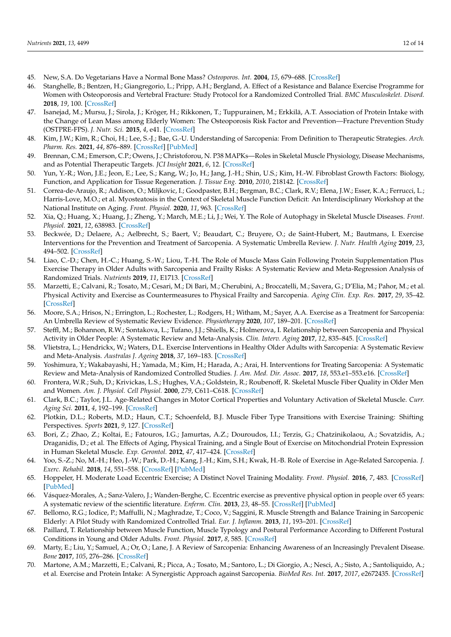- <span id="page-13-0"></span>45. New, S.A. Do Vegetarians Have a Normal Bone Mass? *Osteoporos. Int.* **2004**, *15*, 679–688. [\[CrossRef\]](http://doi.org/10.1007/s00198-004-1647-9)
- <span id="page-13-1"></span>46. Stanghelle, B.; Bentzen, H.; Giangregorio, L.; Pripp, A.H.; Bergland, A. Effect of a Resistance and Balance Exercise Programme for Women with Osteoporosis and Vertebral Fracture: Study Protocol for a Randomized Controlled Trial. *BMC Musculoskelet. Disord.* **2018**, *19*, 100. [\[CrossRef\]](http://doi.org/10.1186/s12891-018-2021-y)
- <span id="page-13-2"></span>47. Isanejad, M.; Mursu, J.; Sirola, J.; Kröger, H.; Rikkonen, T.; Tuppurainen, M.; Erkkilä, A.T. Association of Protein Intake with the Change of Lean Mass among Elderly Women: The Osteoporosis Risk Factor and Prevention—Fracture Prevention Study (OSTPRE-FPS). *J. Nutr. Sci.* **2015**, *4*, e41. [\[CrossRef\]](http://doi.org/10.1017/jns.2015.31)
- <span id="page-13-3"></span>48. Kim, J.W.; Kim, R.; Choi, H.; Lee, S.-J.; Bae, G.-U. Understanding of Sarcopenia: From Definition to Therapeutic Strategies. *Arch. Pharm. Res.* **2021**, *44*, 876–889. [\[CrossRef\]](http://doi.org/10.1007/s12272-021-01349-z) [\[PubMed\]](http://www.ncbi.nlm.nih.gov/pubmed/34537916)
- <span id="page-13-4"></span>49. Brennan, C.M.; Emerson, C.P.; Owens, J.; Christoforou, N. P38 MAPKs—Roles in Skeletal Muscle Physiology, Disease Mechanisms, and as Potential Therapeutic Targets. *JCI Insight* **2021**, *6*, 12. [\[CrossRef\]](http://doi.org/10.1172/jci.insight.149915)
- <span id="page-13-5"></span>50. Yun, Y.-R.; Won, J.E.; Jeon, E.; Lee, S.; Kang, W.; Jo, H.; Jang, J.-H.; Shin, U.S.; Kim, H.-W. Fibroblast Growth Factors: Biology, Function, and Application for Tissue Regeneration. *J. Tissue Eng.* **2010**, *2010*, 218142. [\[CrossRef\]](http://doi.org/10.4061/2010/218142)
- <span id="page-13-6"></span>51. Correa-de-Araujo, R.; Addison, O.; Miljkovic, I.; Goodpaster, B.H.; Bergman, B.C.; Clark, R.V.; Elena, J.W.; Esser, K.A.; Ferrucci, L.; Harris-Love, M.O.; et al. Myosteatosis in the Context of Skeletal Muscle Function Deficit: An Interdisciplinary Workshop at the National Institute on Aging. *Front. Physiol.* **2020**, *11*, 963. [\[CrossRef\]](http://doi.org/10.3389/fphys.2020.00963)
- <span id="page-13-7"></span>52. Xia, Q.; Huang, X.; Huang, J.; Zheng, Y.; March, M.E.; Li, J.; Wei, Y. The Role of Autophagy in Skeletal Muscle Diseases. *Front. Physiol.* **2021**, *12*, 638983. [\[CrossRef\]](http://doi.org/10.3389/fphys.2021.638983)
- <span id="page-13-8"></span>53. Beckwée, D.; Delaere, A.; Aelbrecht, S.; Baert, V.; Beaudart, C.; Bruyere, O.; de Saint-Hubert, M.; Bautmans, I. Exercise Interventions for the Prevention and Treatment of Sarcopenia. A Systematic Umbrella Review. *J. Nutr. Health Aging* **2019**, *23*, 494–502. [\[CrossRef\]](http://doi.org/10.1007/s12603-019-1196-8)
- <span id="page-13-21"></span>54. Liao, C.-D.; Chen, H.-C.; Huang, S.-W.; Liou, T.-H. The Role of Muscle Mass Gain Following Protein Supplementation Plus Exercise Therapy in Older Adults with Sarcopenia and Frailty Risks: A Systematic Review and Meta-Regression Analysis of Randomized Trials. *Nutrients* **2019**, *11*, E1713. [\[CrossRef\]](http://doi.org/10.3390/nu11081713)
- <span id="page-13-25"></span>55. Marzetti, E.; Calvani, R.; Tosato, M.; Cesari, M.; Di Bari, M.; Cherubini, A.; Broccatelli, M.; Savera, G.; D'Elia, M.; Pahor, M.; et al. Physical Activity and Exercise as Countermeasures to Physical Frailty and Sarcopenia. *Aging Clin. Exp. Res.* **2017**, *29*, 35–42. [\[CrossRef\]](http://doi.org/10.1007/s40520-016-0705-4)
- <span id="page-13-22"></span>56. Moore, S.A.; Hrisos, N.; Errington, L.; Rochester, L.; Rodgers, H.; Witham, M.; Sayer, A.A. Exercise as a Treatment for Sarcopenia: An Umbrella Review of Systematic Review Evidence. *Physiotherapy* **2020**, *107*, 189–201. [\[CrossRef\]](http://doi.org/10.1016/j.physio.2019.08.005)
- <span id="page-13-24"></span>57. Steffl, M.; Bohannon, R.W.; Sontakova, L.; Tufano, J.J.; Shiells, K.; Holmerova, I. Relationship between Sarcopenia and Physical Activity in Older People: A Systematic Review and Meta-Analysis. *Clin. Interv. Aging* **2017**, *12*, 835–845. [\[CrossRef\]](http://doi.org/10.2147/CIA.S132940)
- <span id="page-13-23"></span>58. Vlietstra, L.; Hendrickx, W.; Waters, D.L. Exercise Interventions in Healthy Older Adults with Sarcopenia: A Systematic Review and Meta-Analysis. *Australas J. Ageing* **2018**, *37*, 169–183. [\[CrossRef\]](http://doi.org/10.1111/ajag.12521)
- <span id="page-13-9"></span>59. Yoshimura, Y.; Wakabayashi, H.; Yamada, M.; Kim, H.; Harada, A.; Arai, H. Interventions for Treating Sarcopenia: A Systematic Review and Meta-Analysis of Randomized Controlled Studies. *J. Am. Med. Dir. Assoc.* **2017**, *18*, 553.e1–553.e16. [\[CrossRef\]](http://doi.org/10.1016/j.jamda.2017.03.019)
- <span id="page-13-10"></span>60. Frontera, W.R.; Suh, D.; Krivickas, L.S.; Hughes, V.A.; Goldstein, R.; Roubenoff, R. Skeletal Muscle Fiber Quality in Older Men and Women. *Am. J. Physiol. Cell Physiol.* **2000**, *279*, C611–C618. [\[CrossRef\]](http://doi.org/10.1152/ajpcell.2000.279.3.C611)
- <span id="page-13-11"></span>61. Clark, B.C.; Taylor, J.L. Age-Related Changes in Motor Cortical Properties and Voluntary Activation of Skeletal Muscle. *Curr. Aging Sci.* **2011**, *4*, 192–199. [\[CrossRef\]](http://doi.org/10.2174/1874609811104030192)
- <span id="page-13-12"></span>62. Plotkin, D.L.; Roberts, M.D.; Haun, C.T.; Schoenfeld, B.J. Muscle Fiber Type Transitions with Exercise Training: Shifting Perspectives. *Sports* **2021**, *9*, 127. [\[CrossRef\]](http://doi.org/10.3390/sports9090127)
- <span id="page-13-13"></span>63. Bori, Z.; Zhao, Z.; Koltai, E.; Fatouros, I.G.; Jamurtas, A.Z.; Douroudos, I.I.; Terzis, G.; Chatzinikolaou, A.; Sovatzidis, A.; Draganidis, D.; et al. The Effects of Aging, Physical Training, and a Single Bout of Exercise on Mitochondrial Protein Expression in Human Skeletal Muscle. *Exp. Gerontol.* **2012**, *47*, 417–424. [\[CrossRef\]](http://doi.org/10.1016/j.exger.2012.03.004)
- <span id="page-13-14"></span>64. Yoo, S.-Z.; No, M.-H.; Heo, J.-W.; Park, D.-H.; Kang, J.-H.; Kim, S.H.; Kwak, H.-B. Role of Exercise in Age-Related Sarcopenia. *J. Exerc. Rehabil.* **2018**, *14*, 551–558. [\[CrossRef\]](http://doi.org/10.12965/jer.1836268.134) [\[PubMed\]](http://www.ncbi.nlm.nih.gov/pubmed/30276173)
- <span id="page-13-15"></span>65. Hoppeler, H. Moderate Load Eccentric Exercise; A Distinct Novel Training Modality. *Front. Physiol.* **2016**, *7*, 483. [\[CrossRef\]](http://doi.org/10.3389/fphys.2016.00483) [\[PubMed\]](http://www.ncbi.nlm.nih.gov/pubmed/27899894)
- <span id="page-13-16"></span>66. Vásquez-Morales, A.; Sanz-Valero, J.; Wanden-Berghe, C. Eccentric exercise as preventive physical option in people over 65 years: A systematic review of the scientific literature. *Enferm. Clin.* **2013**, *23*, 48–55. [\[CrossRef\]](http://doi.org/10.1016/j.enfcli.2013.01.003) [\[PubMed\]](http://www.ncbi.nlm.nih.gov/pubmed/23517747)
- <span id="page-13-17"></span>67. Bellomo, R.G.; Iodice, P.; Maffulli, N.; Maghradze, T.; Coco, V.; Saggini, R. Muscle Strength and Balance Training in Sarcopenic Elderly: A Pilot Study with Randomized Controlled Trial. *Eur. J. Inflamm.* **2013**, *11*, 193–201. [\[CrossRef\]](http://doi.org/10.1177/1721727X1301100118)
- <span id="page-13-18"></span>68. Paillard, T. Relationship between Muscle Function, Muscle Typology and Postural Performance According to Different Postural Conditions in Young and Older Adults. *Front. Physiol.* **2017**, *8*, 585. [\[CrossRef\]](http://doi.org/10.3389/fphys.2017.00585)
- <span id="page-13-19"></span>69. Marty, E.; Liu, Y.; Samuel, A.; Or, O.; Lane, J. A Review of Sarcopenia: Enhancing Awareness of an Increasingly Prevalent Disease. *Bone* **2017**, *105*, 276–286. [\[CrossRef\]](http://doi.org/10.1016/j.bone.2017.09.008)
- <span id="page-13-20"></span>70. Martone, A.M.; Marzetti, E.; Calvani, R.; Picca, A.; Tosato, M.; Santoro, L.; Di Giorgio, A.; Nesci, A.; Sisto, A.; Santoliquido, A.; et al. Exercise and Protein Intake: A Synergistic Approach against Sarcopenia. *BioMed Res. Int.* **2017**, *2017*, e2672435. [\[CrossRef\]](http://doi.org/10.1155/2017/2672435)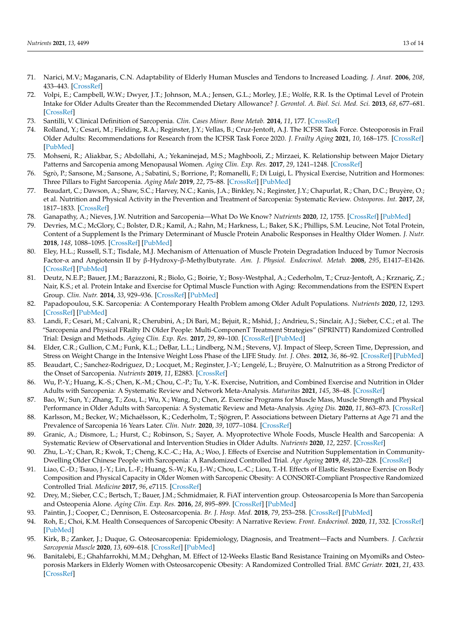- <span id="page-14-0"></span>71. Narici, M.V.; Maganaris, C.N. Adaptability of Elderly Human Muscles and Tendons to Increased Loading. *J. Anat.* **2006**, *208*, 433–443. [\[CrossRef\]](http://doi.org/10.1111/j.1469-7580.2006.00548.x)
- <span id="page-14-1"></span>72. Volpi, E.; Campbell, W.W.; Dwyer, J.T.; Johnson, M.A.; Jensen, G.L.; Morley, J.E.; Wolfe, R.R. Is the Optimal Level of Protein Intake for Older Adults Greater than the Recommended Dietary Allowance? *J. Gerontol. A. Biol. Sci. Med. Sci.* **2013**, *68*, 677–681. [\[CrossRef\]](http://doi.org/10.1093/gerona/gls229)
- <span id="page-14-2"></span>73. Santilli, V. Clinical Definition of Sarcopenia. *Clin. Cases Miner. Bone Metab.* **2014**, *11*, 177. [\[CrossRef\]](http://doi.org/10.11138/ccmbm/2014.11.3.177)
- <span id="page-14-3"></span>74. Rolland, Y.; Cesari, M.; Fielding, R.A.; Reginster, J.Y.; Vellas, B.; Cruz-Jentoft, A.J. The ICFSR Task Force. Osteoporosis in Frail Older Adults: Recommendations for Research from the ICFSR Task Force 2020. *J. Frailty Aging* **2021**, *10*, 168–175. [\[CrossRef\]](http://doi.org/10.14283/jfa.2021.4) [\[PubMed\]](http://www.ncbi.nlm.nih.gov/pubmed/33575707)
- <span id="page-14-4"></span>75. Mohseni, R.; Aliakbar, S.; Abdollahi, A.; Yekaninejad, M.S.; Maghbooli, Z.; Mirzaei, K. Relationship between Major Dietary Patterns and Sarcopenia among Menopausal Women. *Aging Clin. Exp. Res.* **2017**, *29*, 1241–1248. [\[CrossRef\]](http://doi.org/10.1007/s40520-016-0721-4)
- <span id="page-14-5"></span>76. Sgrò, P.; Sansone, M.; Sansone, A.; Sabatini, S.; Borrione, P.; Romanelli, F.; Di Luigi, L. Physical Exercise, Nutrition and Hormones: Three Pillars to Fight Sarcopenia. *Aging Male* **2019**, *22*, 75–88. [\[CrossRef\]](http://doi.org/10.1080/13685538.2018.1439004) [\[PubMed\]](http://www.ncbi.nlm.nih.gov/pubmed/29451419)
- <span id="page-14-6"></span>77. Beaudart, C.; Dawson, A.; Shaw, S.C.; Harvey, N.C.; Kanis, J.A.; Binkley, N.; Reginster, J.Y.; Chapurlat, R.; Chan, D.C.; Bruyère, O.; et al. Nutrition and Physical Activity in the Prevention and Treatment of Sarcopenia: Systematic Review. *Osteoporos. Int.* **2017**, *28*, 1817–1833. [\[CrossRef\]](http://doi.org/10.1007/s00198-017-3980-9)
- <span id="page-14-7"></span>78. Ganapathy, A.; Nieves, J.W. Nutrition and Sarcopenia—What Do We Know? *Nutrients* **2020**, *12*, 1755. [\[CrossRef\]](http://doi.org/10.3390/nu12061755) [\[PubMed\]](http://www.ncbi.nlm.nih.gov/pubmed/32545408)
- <span id="page-14-8"></span>79. Devries, M.C.; McGlory, C.; Bolster, D.R.; Kamil, A.; Rahn, M.; Harkness, L.; Baker, S.K.; Phillips, S.M. Leucine, Not Total Protein, Content of a Supplement Is the Primary Determinant of Muscle Protein Anabolic Responses in Healthy Older Women. *J. Nutr.* **2018**, *148*, 1088–1095. [\[CrossRef\]](http://doi.org/10.1093/jn/nxy091) [\[PubMed\]](http://www.ncbi.nlm.nih.gov/pubmed/29901760)
- <span id="page-14-9"></span>80. Eley, H.L.; Russell, S.T.; Tisdale, M.J. Mechanism of Attenuation of Muscle Protein Degradation Induced by Tumor Necrosis Factor-α and Angiotensin II by β-Hydroxy-β-Methylbutyrate. *Am. J. Physiol. Endocrinol. Metab.* **2008**, *295*, E1417–E1426. [\[CrossRef\]](http://doi.org/10.1152/ajpendo.90567.2008) [\[PubMed\]](http://www.ncbi.nlm.nih.gov/pubmed/18840762)
- <span id="page-14-10"></span>81. Deutz, N.E.P.; Bauer, J.M.; Barazzoni, R.; Biolo, G.; Boirie, Y.; Bosy-Westphal, A.; Cederholm, T.; Cruz-Jentoft, A.; Krznariç, Z.; Nair, K.S.; et al. Protein Intake and Exercise for Optimal Muscle Function with Aging: Recommendations from the ESPEN Expert Group. *Clin. Nutr.* **2014**, *33*, 929–936. [\[CrossRef\]](http://doi.org/10.1016/j.clnu.2014.04.007) [\[PubMed\]](http://www.ncbi.nlm.nih.gov/pubmed/24814383)
- <span id="page-14-11"></span>82. Papadopoulou, S.K. Sarcopenia: A Contemporary Health Problem among Older Adult Populations. *Nutrients* **2020**, *12*, 1293. [\[CrossRef\]](http://doi.org/10.3390/nu12051293) [\[PubMed\]](http://www.ncbi.nlm.nih.gov/pubmed/32370051)
- <span id="page-14-12"></span>83. Landi, F.; Cesari, M.; Calvani, R.; Cherubini, A.; Di Bari, M.; Bejuit, R.; Mshid, J.; Andrieu, S.; Sinclair, A.J.; Sieber, C.C.; et al. The "Sarcopenia and Physical FRailty IN Older People: Multi-ComponenT Treatment Strategies" (SPRINTT) Randomized Controlled Trial: Design and Methods. *Aging Clin. Exp. Res.* **2017**, *29*, 89–100. [\[CrossRef\]](http://doi.org/10.1007/s40520-016-0715-2) [\[PubMed\]](http://www.ncbi.nlm.nih.gov/pubmed/28144914)
- <span id="page-14-13"></span>84. Elder, C.R.; Gullion, C.M.; Funk, K.L.; DeBar, L.L.; Lindberg, N.M.; Stevens, V.J. Impact of Sleep, Screen Time, Depression, and Stress on Weight Change in the Intensive Weight Loss Phase of the LIFE Study. *Int. J. Obes.* **2012**, *36*, 86–92. [\[CrossRef\]](http://doi.org/10.1038/ijo.2011.60) [\[PubMed\]](http://www.ncbi.nlm.nih.gov/pubmed/21448129)
- <span id="page-14-14"></span>85. Beaudart, C.; Sanchez-Rodriguez, D.; Locquet, M.; Reginster, J.-Y.; Lengelé, L.; Bruyère, O. Malnutrition as a Strong Predictor of the Onset of Sarcopenia. *Nutrients* **2019**, *11*, E2883. [\[CrossRef\]](http://doi.org/10.3390/nu11122883)
- <span id="page-14-15"></span>86. Wu, P.-Y.; Huang, K.-S.; Chen, K.-M.; Chou, C.-P.; Tu, Y.-K. Exercise, Nutrition, and Combined Exercise and Nutrition in Older Adults with Sarcopenia: A Systematic Review and Network Meta-Analysis. *Maturitas* **2021**, *145*, 38–48. [\[CrossRef\]](http://doi.org/10.1016/j.maturitas.2020.12.009)
- <span id="page-14-16"></span>87. Bao, W.; Sun, Y.; Zhang, T.; Zou, L.; Wu, X.; Wang, D.; Chen, Z. Exercise Programs for Muscle Mass, Muscle Strength and Physical Performance in Older Adults with Sarcopenia: A Systematic Review and Meta-Analysis. *Aging Dis.* **2020**, *11*, 863–873. [\[CrossRef\]](http://doi.org/10.14336/AD.2019.1012)
- <span id="page-14-17"></span>88. Karlsson, M.; Becker, W.; Michaëlsson, K.; Cederholm, T.; Sjögren, P. Associations between Dietary Patterns at Age 71 and the Prevalence of Sarcopenia 16 Years Later. *Clin. Nutr.* **2020**, *39*, 1077–1084. [\[CrossRef\]](http://doi.org/10.1016/j.clnu.2019.04.009)
- <span id="page-14-18"></span>89. Granic, A.; Dismore, L.; Hurst, C.; Robinson, S.; Sayer, A. Myoprotective Whole Foods, Muscle Health and Sarcopenia: A Systematic Review of Observational and Intervention Studies in Older Adults. *Nutrients* **2020**, *12*, 2257. [\[CrossRef\]](http://doi.org/10.3390/nu12082257)
- <span id="page-14-19"></span>90. Zhu, L.-Y.; Chan, R.; Kwok, T.; Cheng, K.C.-C.; Ha, A.; Woo, J. Effects of Exercise and Nutrition Supplementation in Community-Dwelling Older Chinese People with Sarcopenia: A Randomized Controlled Trial. *Age Ageing* **2019**, *48*, 220–228. [\[CrossRef\]](http://doi.org/10.1093/ageing/afy179)
- <span id="page-14-20"></span>91. Liao, C.-D.; Tsauo, J.-Y.; Lin, L.-F.; Huang, S.-W.; Ku, J.-W.; Chou, L.-C.; Liou, T.-H. Effects of Elastic Resistance Exercise on Body Composition and Physical Capacity in Older Women with Sarcopenic Obesity: A CONSORT-Compliant Prospective Randomized Controlled Trial. *Medicine* **2017**, *96*, e7115. [\[CrossRef\]](http://doi.org/10.1097/MD.0000000000007115)
- <span id="page-14-21"></span>92. Drey, M.; Sieber, C.C.; Bertsch, T.; Bauer, J.M.; Schmidmaier, R. FiAT intervention group. Osteosarcopenia Is More than Sarcopenia and Osteopenia Alone. *Aging Clin. Exp. Res.* **2016**, *28*, 895–899. [\[CrossRef\]](http://doi.org/10.1007/s40520-015-0494-1) [\[PubMed\]](http://www.ncbi.nlm.nih.gov/pubmed/26563287)
- <span id="page-14-22"></span>93. Paintin, J.; Cooper, C.; Dennison, E. Osteosarcopenia. *Br. J. Hosp. Med.* **2018**, *79*, 253–258. [\[CrossRef\]](http://doi.org/10.12968/hmed.2018.79.5.253) [\[PubMed\]](http://www.ncbi.nlm.nih.gov/pubmed/29727228)
- <span id="page-14-23"></span>94. Roh, E.; Choi, K.M. Health Consequences of Sarcopenic Obesity: A Narrative Review. *Front. Endocrinol.* **2020**, *11*, 332. [\[CrossRef\]](http://doi.org/10.3389/fendo.2020.00332) [\[PubMed\]](http://www.ncbi.nlm.nih.gov/pubmed/32508753)
- <span id="page-14-24"></span>95. Kirk, B.; Zanker, J.; Duque, G. Osteosarcopenia: Epidemiology, Diagnosis, and Treatment—Facts and Numbers. *J. Cachexia Sarcopenia Muscle* **2020**, *13*, 609–618. [\[CrossRef\]](http://doi.org/10.1002/jcsm.12567) [\[PubMed\]](http://www.ncbi.nlm.nih.gov/pubmed/32202056)
- <span id="page-14-25"></span>96. Banitalebi, E.; Ghahfarrokhi, M.M.; Dehghan, M. Effect of 12-Weeks Elastic Band Resistance Training on MyomiRs and Osteoporosis Markers in Elderly Women with Osteosarcopenic Obesity: A Randomized Controlled Trial. *BMC Geriatr.* **2021**, *21*, 433. [\[CrossRef\]](http://doi.org/10.1186/s12877-021-02374-9)